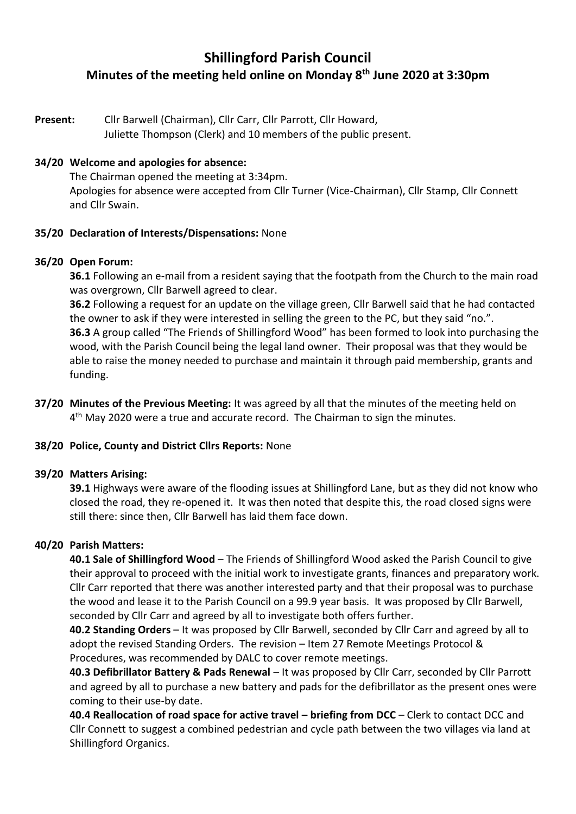# **Shillingford Parish Council Minutes of the meeting held online on Monday 8th June 2020 at 3:30pm**

**Present:** Cllr Barwell (Chairman), Cllr Carr, Cllr Parrott, Cllr Howard, Juliette Thompson (Clerk) and 10 members of the public present.

#### **34/20 Welcome and apologies for absence:**

The Chairman opened the meeting at 3:34pm. Apologies for absence were accepted from Cllr Turner (Vice-Chairman), Cllr Stamp, Cllr Connett and Cllr Swain.

#### **35/20 Declaration of Interests/Dispensations:** None

#### **36/20 Open Forum:**

**36.1** Following an e-mail from a resident saying that the footpath from the Church to the main road was overgrown, Cllr Barwell agreed to clear.

**36.2** Following a request for an update on the village green, Cllr Barwell said that he had contacted the owner to ask if they were interested in selling the green to the PC, but they said "no.". **36.3** A group called "The Friends of Shillingford Wood" has been formed to look into purchasing the wood, with the Parish Council being the legal land owner. Their proposal was that they would be able to raise the money needed to purchase and maintain it through paid membership, grants and funding.

**37/20 Minutes of the Previous Meeting:** It was agreed by all that the minutes of the meeting held on 4<sup>th</sup> May 2020 were a true and accurate record. The Chairman to sign the minutes.

#### **38/20 Police, County and District Cllrs Reports:** None

#### **39/20 Matters Arising:**

**39.1** Highways were aware of the flooding issues at Shillingford Lane, but as they did not know who closed the road, they re-opened it. It was then noted that despite this, the road closed signs were still there: since then, Cllr Barwell has laid them face down.

## **40/20 Parish Matters:**

**40.1 Sale of Shillingford Wood** – The Friends of Shillingford Wood asked the Parish Council to give their approval to proceed with the initial work to investigate grants, finances and preparatory work. Cllr Carr reported that there was another interested party and that their proposal was to purchase the wood and lease it to the Parish Council on a 99.9 year basis. It was proposed by Cllr Barwell, seconded by Cllr Carr and agreed by all to investigate both offers further.

**40.2 Standing Orders** – It was proposed by Cllr Barwell, seconded by Cllr Carr and agreed by all to adopt the revised Standing Orders. The revision – Item 27 Remote Meetings Protocol & Procedures, was recommended by DALC to cover remote meetings.

**40.3 Defibrillator Battery & Pads Renewal** – It was proposed by Cllr Carr, seconded by Cllr Parrott and agreed by all to purchase a new battery and pads for the defibrillator as the present ones were coming to their use-by date.

**40.4 Reallocation of road space for active travel – briefing from DCC – Clerk to contact DCC and** Cllr Connett to suggest a combined pedestrian and cycle path between the two villages via land at Shillingford Organics.